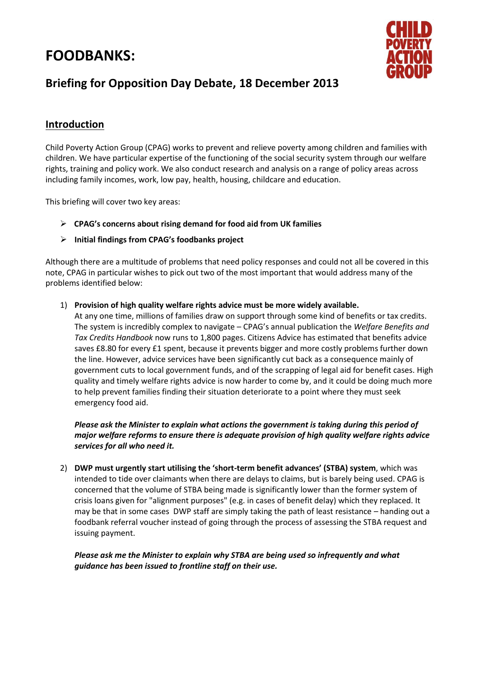# **FOODBANKS:**



# **Briefing for Opposition Day Debate, 18 December 2013**

## **Introduction**

Child Poverty Action Group (CPAG) works to prevent and relieve poverty among children and families with children. We have particular expertise of the functioning of the social security system through our welfare rights, training and policy work. We also conduct research and analysis on a range of policy areas across including family incomes, work, low pay, health, housing, [childcare and education.](http://www.cpag.org.uk/childcare-and-education)

This briefing will cover two key areas:

- **CPAG's concerns about rising demand for food aid from UK families**
- **Initial findings from CPAG's foodbanks project**

Although there are a multitude of problems that need policy responses and could not all be covered in this note, CPAG in particular wishes to pick out two of the most important that would address many of the problems identified below:

1) **Provision of high quality welfare rights advice must be more widely available.**

At any one time, millions of families draw on support through some kind of benefits or tax credits. The system is incredibly complex to navigate – CPAG's annual publication the *Welfare Benefits and Tax Credits Handbook* now runs to 1,800 pages. Citizens Advice has estimated that benefits advice saves £8.80 for every £1 spent, because it prevents bigger and more costly problems further down the line. However, advice services have been significantly cut back as a consequence mainly of government cuts to local government funds, and of the scrapping of legal aid for benefit cases. High quality and timely welfare rights advice is now harder to come by, and it could be doing much more to help prevent families finding their situation deteriorate to a point where they must seek emergency food aid.

*Please ask the Minister to explain what actions the government is taking during this period of major welfare reforms to ensure there is adequate provision of high quality welfare rights advice services for all who need it.* 

2) **DWP must urgently start utilising the 'short-term benefit advances' (STBA) system**, which was intended to tide over claimants when there are delays to claims, but is barely being used. CPAG is concerned that the volume of STBA being made is significantly lower than the former system of crisis loans given for "alignment purposes" (e.g. in cases of benefit delay) which they replaced. It may be that in some cases DWP staff are simply taking the path of least resistance – handing out a foodbank referral voucher instead of going through the process of assessing the STBA request and issuing payment.

*Please ask me the Minister to explain why STBA are being used so infrequently and what guidance has been issued to frontline staff on their use.*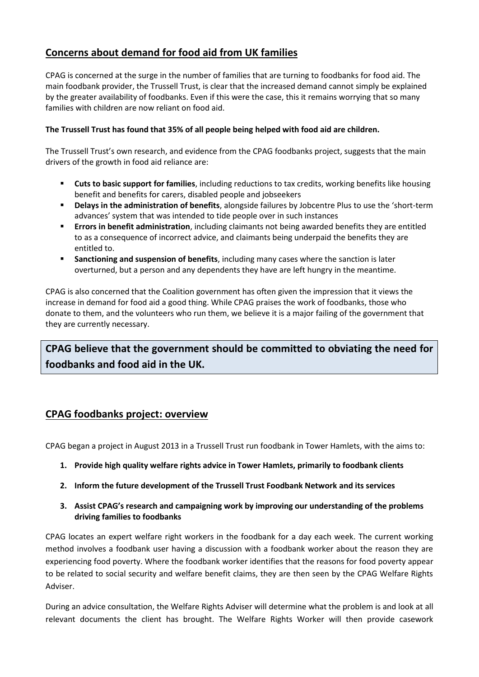# **Concerns about demand for food aid from UK families**

CPAG is concerned at the surge in the number of families that are turning to foodbanks for food aid. The main foodbank provider, the Trussell Trust, is clear that the increased demand cannot simply be explained by the greater availability of foodbanks. Even if this were the case, this it remains worrying that so many families with children are now reliant on food aid.

#### **The Trussell Trust has found that 35% of all people being helped with food aid are children.**

The Trussell Trust's own research, and evidence from the CPAG foodbanks project, suggests that the main drivers of the growth in food aid reliance are:

- **Cuts to basic support for families**, including reductions to tax credits, working benefits like housing benefit and benefits for carers, disabled people and jobseekers
- **Delays in the administration of benefits**, alongside failures by Jobcentre Plus to use the 'short-term advances' system that was intended to tide people over in such instances
- **Errors in benefit administration**, including claimants not being awarded benefits they are entitled to as a consequence of incorrect advice, and claimants being underpaid the benefits they are entitled to.
- **Sanctioning and suspension of benefits**, including many cases where the sanction is later overturned, but a person and any dependents they have are left hungry in the meantime.

CPAG is also concerned that the Coalition government has often given the impression that it views the increase in demand for food aid a good thing. While CPAG praises the work of foodbanks, those who donate to them, and the volunteers who run them, we believe it is a major failing of the government that they are currently necessary.

# **CPAG believe that the government should be committed to obviating the need for foodbanks and food aid in the UK.**

### **CPAG foodbanks project: overview**

CPAG began a project in August 2013 in a Trussell Trust run foodbank in Tower Hamlets, with the aims to:

- **1. Provide high quality welfare rights advice in Tower Hamlets, primarily to foodbank clients**
- **2. Inform the future development of the Trussell Trust Foodbank Network and its services**
- **3. Assist CPAG's research and campaigning work by improving our understanding of the problems driving families to foodbanks**

CPAG locates an expert welfare right workers in the foodbank for a day each week. The current working method involves a foodbank user having a discussion with a foodbank worker about the reason they are experiencing food poverty. Where the foodbank worker identifies that the reasons for food poverty appear to be related to social security and welfare benefit claims, they are then seen by the CPAG Welfare Rights Adviser.

During an advice consultation, the Welfare Rights Adviser will determine what the problem is and look at all relevant documents the client has brought. The Welfare Rights Worker will then provide casework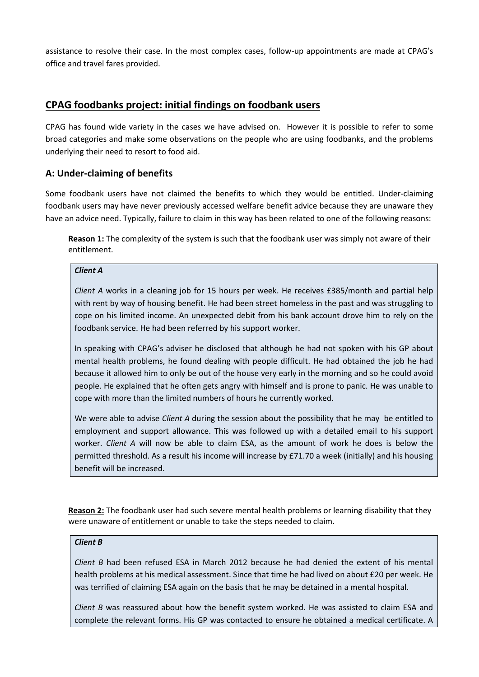assistance to resolve their case. In the most complex cases, follow-up appointments are made at CPAG's office and travel fares provided.

### **CPAG foodbanks project: initial findings on foodbank users**

CPAG has found wide variety in the cases we have advised on. However it is possible to refer to some broad categories and make some observations on the people who are using foodbanks, and the problems underlying their need to resort to food aid.

### **A: Under-claiming of benefits**

Some foodbank users have not claimed the benefits to which they would be entitled. Under-claiming foodbank users may have never previously accessed welfare benefit advice because they are unaware they have an advice need. Typically, failure to claim in this way has been related to one of the following reasons:

**Reason 1:** The complexity of the system is such that the foodbank user was simply not aware of their entitlement.

#### *Client A*

*Client A* works in a cleaning job for 15 hours per week. He receives £385/month and partial help with rent by way of housing benefit. He had been street homeless in the past and was struggling to cope on his limited income. An unexpected debit from his bank account drove him to rely on the foodbank service. He had been referred by his support worker.

In speaking with CPAG's adviser he disclosed that although he had not spoken with his GP about mental health problems, he found dealing with people difficult. He had obtained the job he had because it allowed him to only be out of the house very early in the morning and so he could avoid people. He explained that he often gets angry with himself and is prone to panic. He was unable to cope with more than the limited numbers of hours he currently worked.

We were able to advise *Client A* during the session about the possibility that he may be entitled to employment and support allowance. This was followed up with a detailed email to his support worker. *Client A* will now be able to claim ESA, as the amount of work he does is below the permitted threshold. As a result his income will increase by £71.70 a week (initially) and his housing benefit will be increased.

**Reason 2:** The foodbank user had such severe mental health problems or learning disability that they were unaware of entitlement or unable to take the steps needed to claim.

#### *Client B*

*Client B* had been refused ESA in March 2012 because he had denied the extent of his mental health problems at his medical assessment. Since that time he had lived on about £20 per week. He was terrified of claiming ESA again on the basis that he may be detained in a mental hospital.

*Client B* was reassured about how the benefit system worked. He was assisted to claim ESA and complete the relevant forms. His GP was contacted to ensure he obtained a medical certificate. A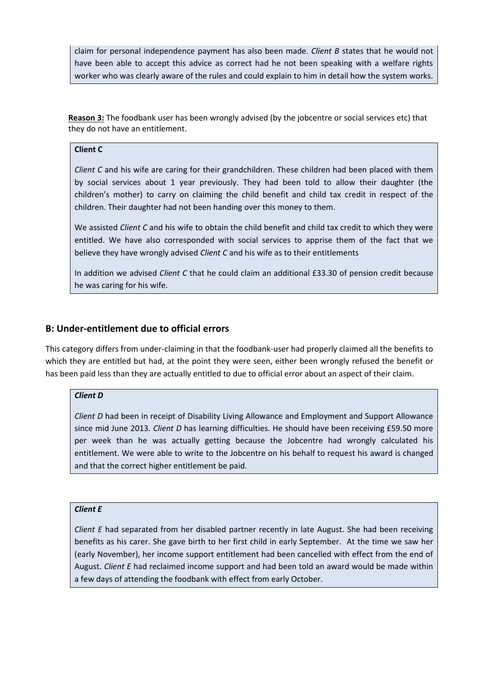claim for personal independence payment has also been made. *Client B* states that he would not have been able to accept this advice as correct had he not been speaking with a welfare rights worker who was clearly aware of the rules and could explain to him in detail how the system works.

**Reason 3:** The foodbank user has been wrongly advised (by the jobcentre or social services etc) that they do not have an entitlement.

#### **Client C**

*Client C* and his wife are caring for their grandchildren. These children had been placed with them by social services about 1 year previously. They had been told to allow their daughter (the children's mother) to carry on claiming the child benefit and child tax credit in respect of the children. Their daughter had not been handing over this money to them.

We assisted *Client C* and his wife to obtain the child benefit and child tax credit to which they were entitled. We have also corresponded with social services to apprise them of the fact that we believe they have wrongly advised *Client C* and his wife as to their entitlements

In addition we advised *Client C* that he could claim an additional £33.30 of pension credit because he was caring for his wife.

#### **B: Under-entitlement due to official errors**

This category differs from under-claiming in that the foodbank-user had properly claimed all the benefits to which they are entitled but had, at the point they were seen, either been wrongly refused the benefit or has been paid less than they are actually entitled to due to official error about an aspect of their claim.

#### *Client D*

*Client D* had been in receipt of Disability Living Allowance and Employment and Support Allowance since mid June 2013. *Client D* has learning difficulties. He should have been receiving £59.50 more per week than he was actually getting because the Jobcentre had wrongly calculated his entitlement. We were able to write to the Jobcentre on his behalf to request his award is changed and that the correct higher entitlement be paid.

#### *Client E*

*Client E* had separated from her disabled partner recently in late August. She had been receiving benefits as his carer. She gave birth to her first child in early September. At the time we saw her (early November), her income support entitlement had been cancelled with effect from the end of August. *Client E* had reclaimed income support and had been told an award would be made within a few days of attending the foodbank with effect from early October.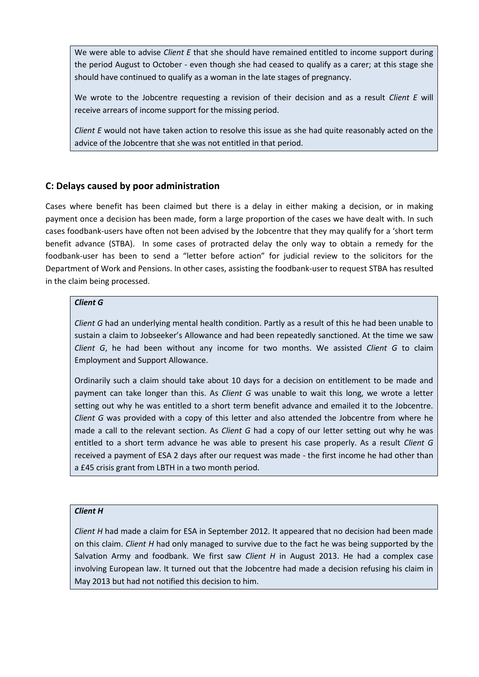We were able to advise *Client E* that she should have remained entitled to income support during the period August to October - even though she had ceased to qualify as a carer; at this stage she should have continued to qualify as a woman in the late stages of pregnancy.

We wrote to the Jobcentre requesting a revision of their decision and as a result *Client E* will receive arrears of income support for the missing period.

*Client E* would not have taken action to resolve this issue as she had quite reasonably acted on the advice of the Jobcentre that she was not entitled in that period.

### **C: Delays caused by poor administration**

Cases where benefit has been claimed but there is a delay in either making a decision, or in making payment once a decision has been made, form a large proportion of the cases we have dealt with. In such cases foodbank-users have often not been advised by the Jobcentre that they may qualify for a 'short term benefit advance (STBA). In some cases of protracted delay the only way to obtain a remedy for the foodbank-user has been to send a "letter before action" for judicial review to the solicitors for the Department of Work and Pensions. In other cases, assisting the foodbank-user to request STBA has resulted in the claim being processed.

#### *Client G*

*Client G* had an underlying mental health condition. Partly as a result of this he had been unable to sustain a claim to Jobseeker's Allowance and had been repeatedly sanctioned. At the time we saw *Client G*, he had been without any income for two months. We assisted *Client G* to claim Employment and Support Allowance.

Ordinarily such a claim should take about 10 days for a decision on entitlement to be made and payment can take longer than this. As *Client G* was unable to wait this long, we wrote a letter setting out why he was entitled to a short term benefit advance and emailed it to the Jobcentre. *Client G* was provided with a copy of this letter and also attended the Jobcentre from where he made a call to the relevant section. As *Client G* had a copy of our letter setting out why he was entitled to a short term advance he was able to present his case properly. As a result *Client G* received a payment of ESA 2 days after our request was made - the first income he had other than a £45 crisis grant from LBTH in a two month period.

#### *Client H*

*Client H* had made a claim for ESA in September 2012. It appeared that no decision had been made on this claim. *Client H* had only managed to survive due to the fact he was being supported by the Salvation Army and foodbank. We first saw *Client H* in August 2013. He had a complex case involving European law. It turned out that the Jobcentre had made a decision refusing his claim in May 2013 but had not notified this decision to him.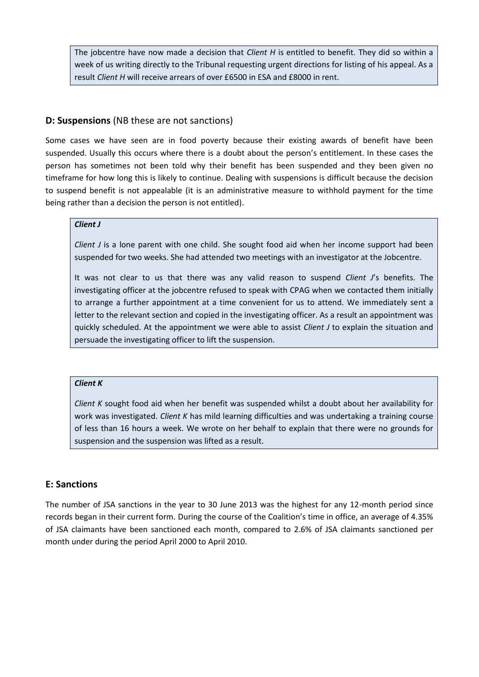The jobcentre have now made a decision that *Client H* is entitled to benefit. They did so within a week of us writing directly to the Tribunal requesting urgent directions for listing of his appeal. As a result *Client H* will receive arrears of over £6500 in ESA and £8000 in rent.

#### **D: Suspensions** (NB these are not sanctions)

Some cases we have seen are in food poverty because their existing awards of benefit have been suspended. Usually this occurs where there is a doubt about the person's entitlement. In these cases the person has sometimes not been told why their benefit has been suspended and they been given no timeframe for how long this is likely to continue. Dealing with suspensions is difficult because the decision to suspend benefit is not appealable (it is an administrative measure to withhold payment for the time being rather than a decision the person is not entitled).

### *Client J*

*Client J* is a lone parent with one child. She sought food aid when her income support had been suspended for two weeks. She had attended two meetings with an investigator at the Jobcentre.

It was not clear to us that there was any valid reason to suspend *Client J*'s benefits. The investigating officer at the jobcentre refused to speak with CPAG when we contacted them initially to arrange a further appointment at a time convenient for us to attend. We immediately sent a letter to the relevant section and copied in the investigating officer. As a result an appointment was quickly scheduled. At the appointment we were able to assist *Client J* to explain the situation and persuade the investigating officer to lift the suspension.

#### *Client K*

*Client K* sought food aid when her benefit was suspended whilst a doubt about her availability for work was investigated. *Client K* has mild learning difficulties and was undertaking a training course of less than 16 hours a week. We wrote on her behalf to explain that there were no grounds for suspension and the suspension was lifted as a result.

#### **E: Sanctions**

The number of JSA sanctions in the year to 30 June 2013 was the highest for any 12-month period since records began in their current form. During the course of the Coalition's time in office, an average of 4.35% of JSA claimants have been sanctioned each month, compared to 2.6% of JSA claimants sanctioned per month under during the period April 2000 to April 2010.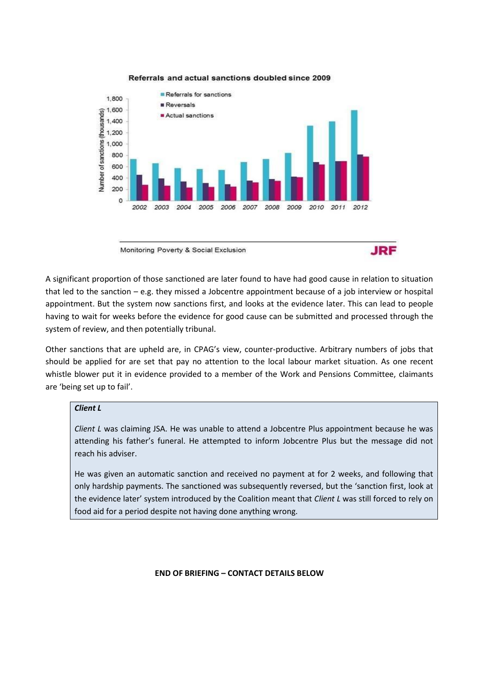

#### Referrals and actual sanctions doubled since 2009

Monitoring Poverty & Social Exclusion



A significant proportion of those sanctioned are later found to have had good cause in relation to situation that led to the sanction  $-e.g.$  they missed a Jobcentre appointment because of a job interview or hospital appointment. But the system now sanctions first, and looks at the evidence later. This can lead to people having to wait for weeks before the evidence for good cause can be submitted and processed through the system of review, and then potentially tribunal.

Other sanctions that are upheld are, in CPAG's view, counter-productive. Arbitrary numbers of jobs that should be applied for are set that pay no attention to the local labour market situation. As one recent whistle blower put it in evidence provided to a member of the Work and Pensions Committee, claimants are 'being set up to fail'.

#### *Client L*

*Client L* was claiming JSA. He was unable to attend a Jobcentre Plus appointment because he was attending his father's funeral. He attempted to inform Jobcentre Plus but the message did not reach his adviser.

He was given an automatic sanction and received no payment at for 2 weeks, and following that only hardship payments. The sanctioned was subsequently reversed, but the 'sanction first, look at the evidence later' system introduced by the Coalition meant that *Client L* was still forced to rely on food aid for a period despite not having done anything wrong.

#### **END OF BRIEFING – CONTACT DETAILS BELOW**